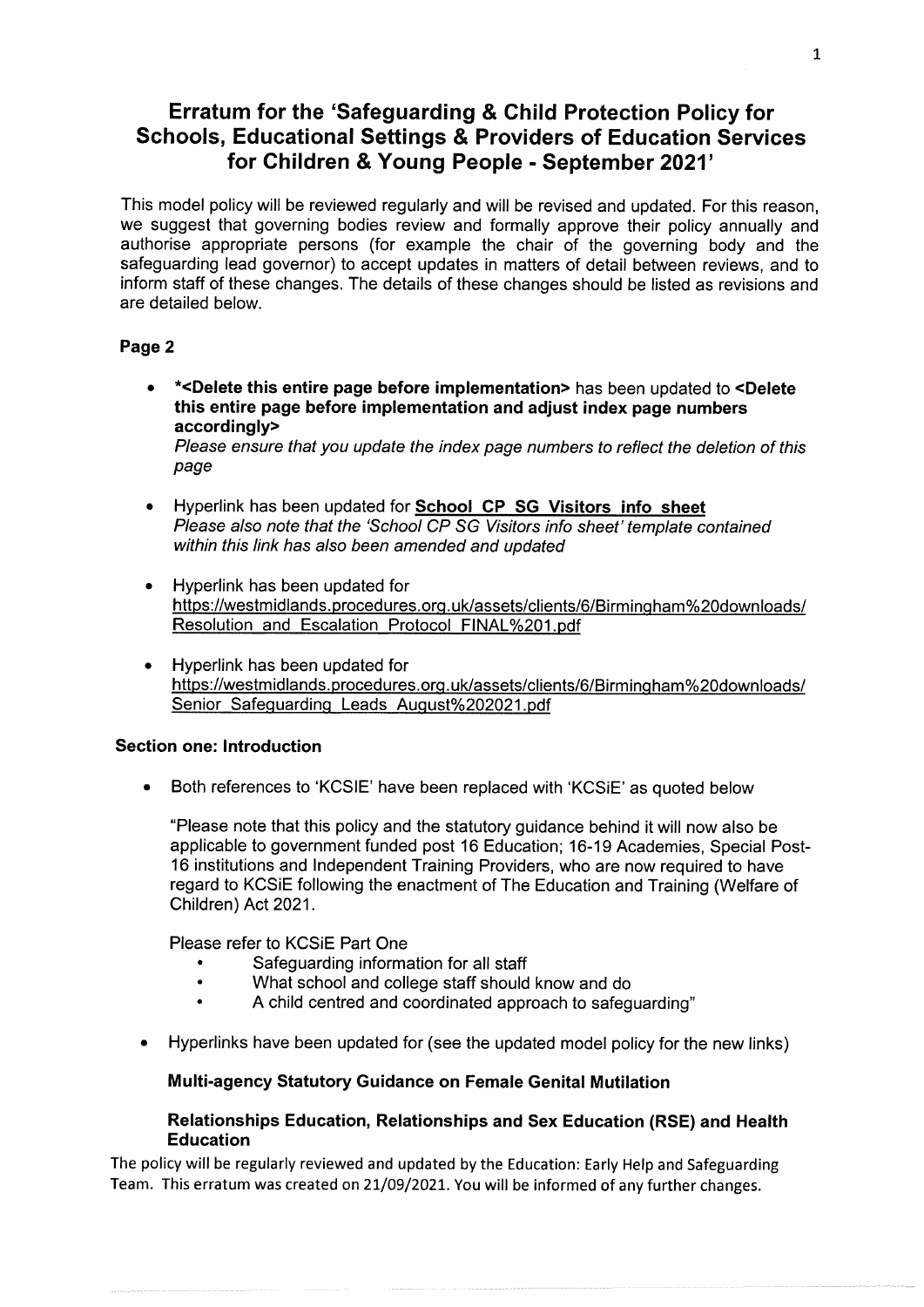# Erratum for the 'Safeguarding & Child Protection Policy for Schools, Educational Settings & Providers of Education Services for Children & Young People - September 2021'

This model policy will be reviewed regularly and will be revised and updated. For this reason, we suggest that governing bodies review and formally approve their policy annually and authorise appropriate persons (for example the chair of the governing body and the safeguarding lead governor) to accept updates in matters of detail between reviews, and to inform staff of these changes. The details of these changes should be listed as revisions and are detailed below.

# Page 2

e \*<Delete this entire page before implementation> has been updated to <Delete this entire page before implementation and adjust index page numbers accordingly>

Please ensure that you update the index page numbers to reflect the deletion of this page

- Hyperlink has been updated for **School CP SG Visitors info sheet** Please also note that the 'School CP SG Visitors info sheet' template contained within this link has also been amended and updated
- e Hyperlink has been updated for https://westmidiands.procedures.org.uk/assets/clients/6/Birmingham%20downloads/ Resolution and Escalation Protocol FINAL%201.pdf
- Hyperlink has been updated for https://westmidiands.procedures.org.uk/assets/clients/6/Birmingham%20downloads/ Senior Safeguarding Leads August%202021.pdf

# Section one: Introduction

e Both references to 'KCSIE' have been replaced with 'KCSiE' as quoted below

"Please note that this policy and the statutory guidance behind it will now also be applicable to government funded post 16 Education; 16-19 Academies, Special Post-16 institutions and Independent Training Providers, who are now required to have regard to KCSIE following the enactment of The Education and Training (Welfare of Children) Act 2021.

Please refer to KCSIE Part One

- Safeguarding information for all staff
- ° What school and college staff should know and do
- A child centred and coordinated approach to safeguarding"
- e Hyperlinks have been updated for (see the updated model policy for the new links)

# Multi-agency Statutory Guidance on Female Genital Mutilation

# Relationships Education, Relationships and Sex Education (RSE) and Health Education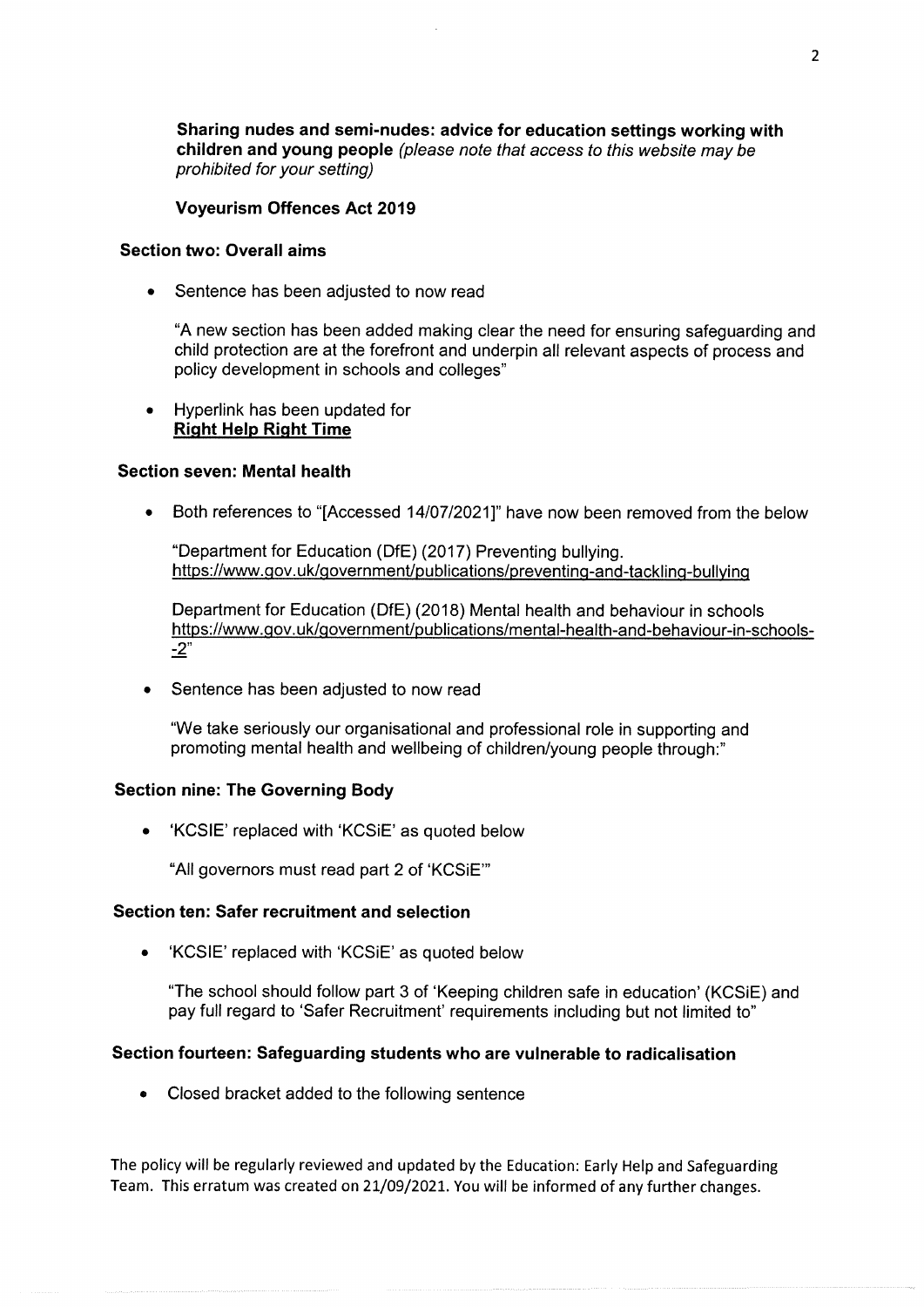Sharing nudes and semi-nudes: advice for education settings working with children and young people (p/ease note that access to this website may be prohibited for your setting)

Voyeurism Offences Act 2019

#### Section two: Overall aims

e Sentence has been adjusted to now read

"A new section has been added making clear the need for ensuring safeguarding and child protection are at the forefront and underpin all relevant aspects of process and policy development in schools and colleges"

e Hyperlink has been updated for Right Help Right Time

#### Section seven: Mental health

• Both references to "[Accessed 14/07/2021]" have now been removed from the below

"Department for Education (DfE) (2017) Preventing bullying. https://www.gov.uk/government/publications/preventing-and-tackling-bullying

Department for Education (DfE) (2018) Mental health and behaviour in schools https://www.gov.uk/government/publications/mental-health-and-behaviour-in-schools--2"

Sentence has been adjusted to now read

"We take seriously our organisational and professional role in supporting and promoting mental health and wellbeing of children/young people through:"

#### Section nine: The Governing Body

e 'KCSIE' replaced with 'KCSiE' as quoted below

"All governors must read part 2 of 'KCSIE"

#### Section ten: Safer recruitment and selection

e 'KCSIE' replaced with 'KCSiE' as quoted below

"The school should follow part 3 of 'Keeping children safe in education' (KCSiE) and pay full regard to "Safer Recruitment' requirements including but not limited to"

#### Section fourteen: Safeguarding students who are vulnerable to radicalisation

e Closed bracket added to the following sentence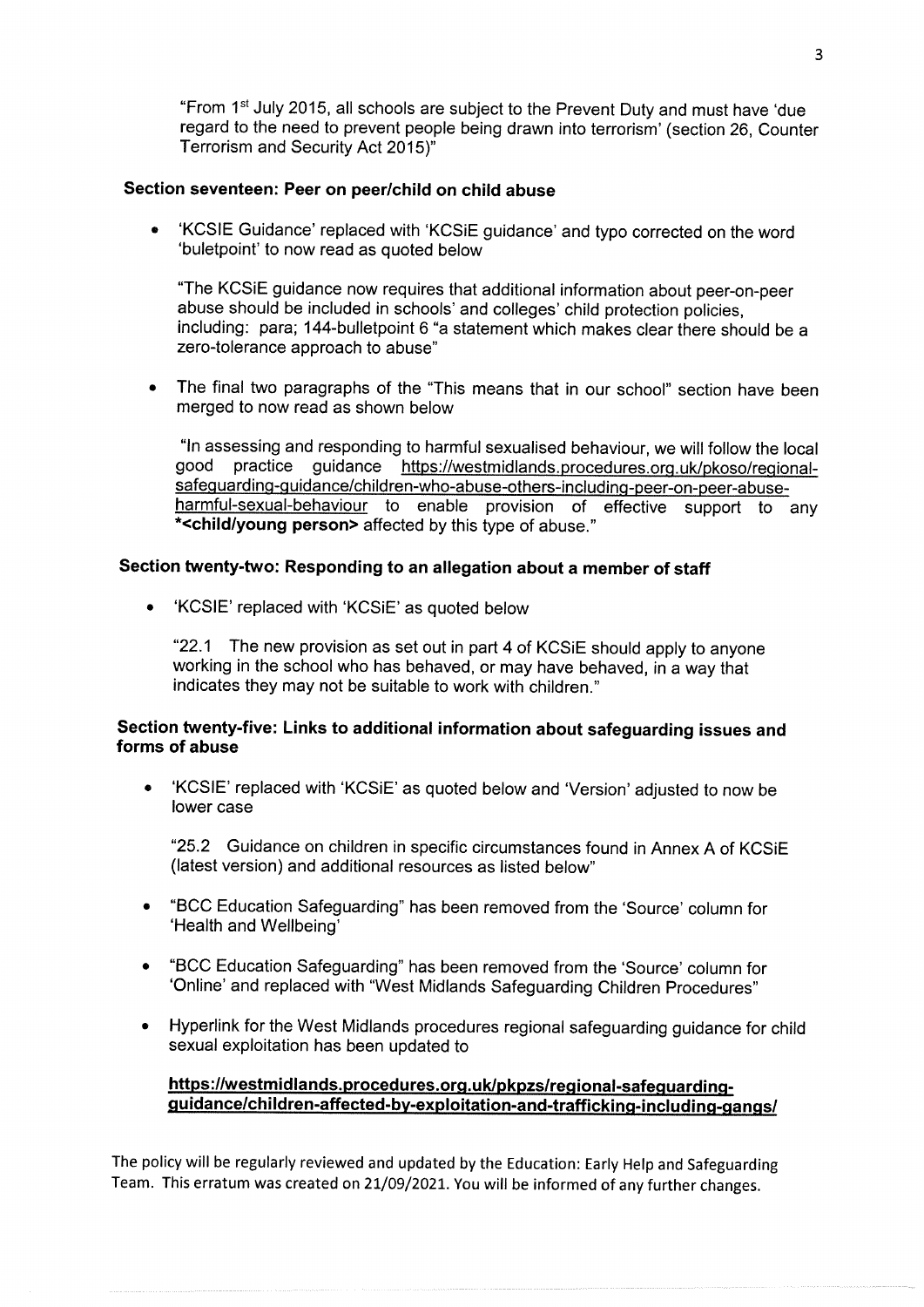"From 1\* July 2015, all schools are subject to the Prevent Duty and must have 'due regard to the need to prevent people being drawn into terrorism' (section 26, Counter Terrorism and Security Act 2015)"

# Section seventeen: Peer on peer/child on child abuse

<sup>e</sup>'KCSIE Guidance' replaced with 'KCSiE guidance' and typo corrected on the word 'buletpoint' to now read as quoted below

"The KCSiE guidance now requires that additional information about peer-on-peer abuse should be included in schools' and colleges' child protection policies, including: para; 144-bulletpoint 6 "a statement which makes clear there should be a zero-tolerance approach to abuse"

The final two paragraphs of the "This means that in our school" section have been merged to now read as shown below

"In assessing and responding to harmful sexualised behaviour, we will follow the local good practice guidance https://westmidlands.procedures.org.uk/pkoso/regionalsafeguarding-quidance/children-who-abuse-others-including-peer-on-peer-abuseharmful-sexual-behaviour to enable provision of effective support to any \*<child/young person> affected by this type of abuse."

#### Section twenty-two: Responding to an allegation about a member of staff

e 'KCSIE' replaced with 'KCSiE' as quoted below

"22.1 The new provision as set out in part 4 of KCSIE should apply to anyone working in the school who has behaved, or may have behaved, in a way that indicates they may not be suitable to work with children."

# Section twenty-five: Links to additional information about safeguarding issues and forms of abuse

'KCSIE' replaced with 'KCSiE' as quoted below and 'Version' adjusted to now be lower case

"29.2 Guidance on children in specific circumstances found in Annex A of KCSiE (latest version) and additional resources as listed below'

- <sup>e</sup>"BCC Education Safeguarding" has been removed from the 'Source' column for 'Health and Wellbeing'
- e "BCC Education Safeguarding" has been removed from the 'Source' column for 'Online' and replaced with "West Midlands Safeguarding Children Procedures"
- <sup>e</sup>Hyperlink for the West Midlands procedures regional safeguarding guidance for child sexual exploitation has been updated to

# https://westmidlands.procedures.org.uk/pkpzs/regional-safequardingquidance/children-affected-by-exploitation-and-trafficking-including-gangs/